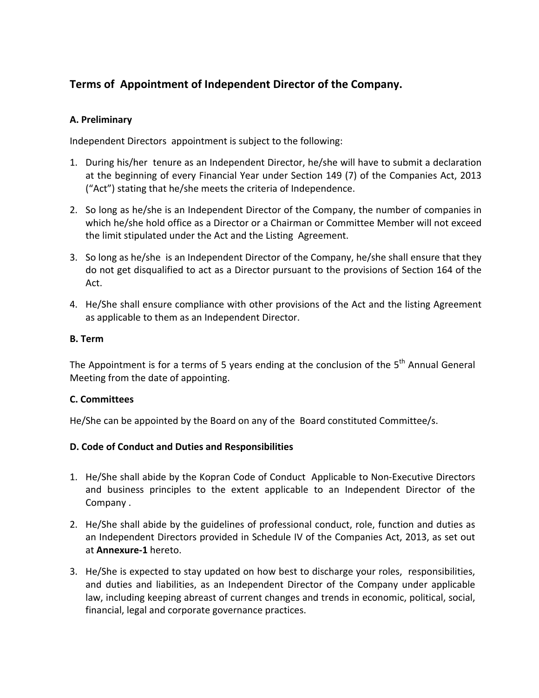# **Terms of Appointment of Independent Director of the Company.**

## **A. Preliminary**

Independent Directors appointment is subject to the following:

- 1. During his/her tenure as an Independent Director, he/she will have to submit a declaration at the beginning of every Financial Year under Section 149 (7) of the Companies Act, 2013 ("Act") stating that he/she meets the criteria of Independence.
- 2. So long as he/she is an Independent Director of the Company, the number of companies in which he/she hold office as a Director or a Chairman or Committee Member will not exceed the limit stipulated under the Act and the Listing Agreement.
- 3. So long as he/she is an Independent Director of the Company, he/she shall ensure that they do not get disqualified to act as a Director pursuant to the provisions of Section 164 of the Act.
- 4. He/She shall ensure compliance with other provisions of the Act and the listing Agreement as applicable to them as an Independent Director.

## **B. Term**

The Appointment is for a terms of 5 years ending at the conclusion of the  $5<sup>th</sup>$  Annual General Meeting from the date of appointing.

## **C. Committees**

He/She can be appointed by the Board on any of the Board constituted Committee/s.

#### **D. Code of Conduct and Duties and Responsibilities**

- 1. He/She shall abide by the Kopran Code of Conduct Applicable to Non‐Executive Directors and business principles to the extent applicable to an Independent Director of the Company .
- 2. He/She shall abide by the guidelines of professional conduct, role, function and duties as an Independent Directors provided in Schedule IV of the Companies Act, 2013, as set out at **Annexure‐1** hereto.
- 3. He/She is expected to stay updated on how best to discharge your roles, responsibilities, and duties and liabilities, as an Independent Director of the Company under applicable law, including keeping abreast of current changes and trends in economic, political, social, financial, legal and corporate governance practices.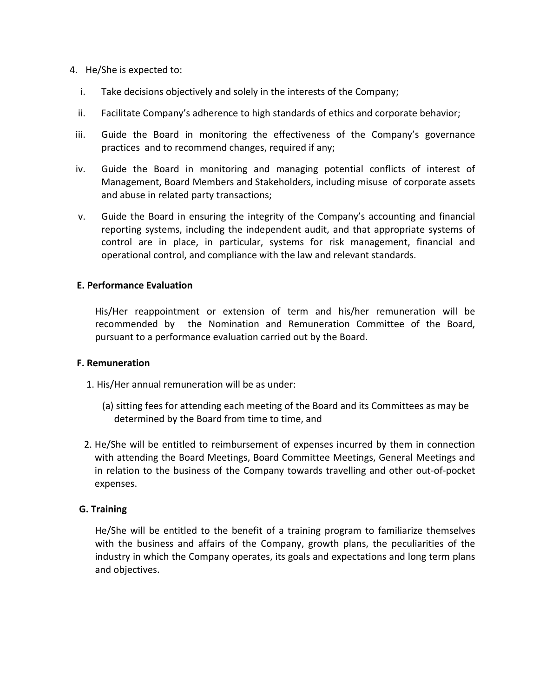- 4. He/She is expected to:
	- i. Take decisions objectively and solely in the interests of the Company;
	- ii. Facilitate Company's adherence to high standards of ethics and corporate behavior;
	- iii. Guide the Board in monitoring the effectiveness of the Company's governance practices and to recommend changes, required if any;
	- iv. Guide the Board in monitoring and managing potential conflicts of interest of Management, Board Members and Stakeholders, including misuse of corporate assets and abuse in related party transactions;
	- v. Guide the Board in ensuring the integrity of the Company's accounting and financial reporting systems, including the independent audit, and that appropriate systems of control are in place, in particular, systems for risk management, financial and operational control, and compliance with the law and relevant standards.

## **E. Performance Evaluation**

His/Her reappointment or extension of term and his/her remuneration will be recommended by the Nomination and Remuneration Committee of the Board, pursuant to a performance evaluation carried out by the Board.

#### **F. Remuneration**

- 1. His/Her annual remuneration will be as under:
	- (a) sitting fees for attending each meeting of the Board and its Committees as may be determined by the Board from time to time, and
- 2. He/She will be entitled to reimbursement of expenses incurred by them in connection with attending the Board Meetings, Board Committee Meetings, General Meetings and in relation to the business of the Company towards travelling and other out‐of‐pocket expenses.

#### **G. Training**

He/She will be entitled to the benefit of a training program to familiarize themselves with the business and affairs of the Company, growth plans, the peculiarities of the industry in which the Company operates, its goals and expectations and long term plans and objectives.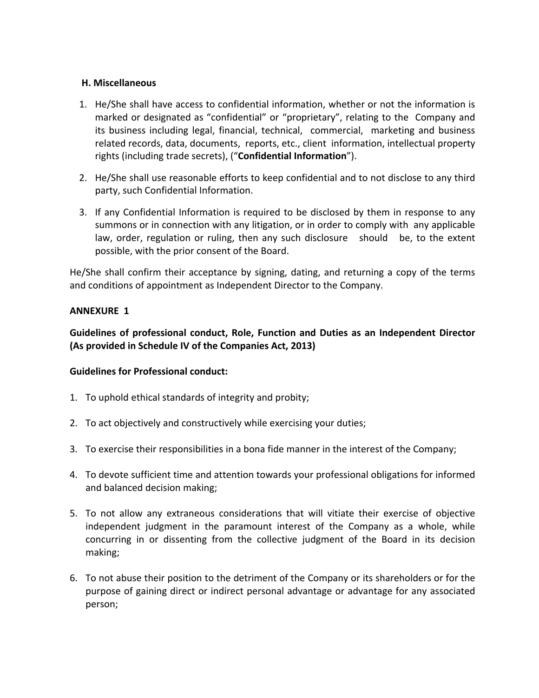### **H. Miscellaneous**

- 1. He/She shall have access to confidential information, whether or not the information is marked or designated as "confidential" or "proprietary", relating to the Company and its business including legal, financial, technical, commercial, marketing and business related records, data, documents, reports, etc., client information, intellectual property rights (including trade secrets), ("**Confidential Information**").
- 2. He/She shall use reasonable efforts to keep confidential and to not disclose to any third party, such Confidential Information.
- 3. If any Confidential Information is required to be disclosed by them in response to any summons or in connection with any litigation, or in order to comply with any applicable law, order, regulation or ruling, then any such disclosure should be, to the extent possible, with the prior consent of the Board.

He/She shall confirm their acceptance by signing, dating, and returning a copy of the terms and conditions of appointment as Independent Director to the Company.

## **ANNEXURE 1**

**Guidelines of professional conduct, Role, Function and Duties as an Independent Director (As provided in Schedule IV of the Companies Act, 2013)** 

#### **Guidelines for Professional conduct:**

- 1. To uphold ethical standards of integrity and probity;
- 2. To act objectively and constructively while exercising your duties;
- 3. To exercise their responsibilities in a bona fide manner in the interest of the Company;
- 4. To devote sufficient time and attention towards your professional obligations for informed and balanced decision making;
- 5. To not allow any extraneous considerations that will vitiate their exercise of objective independent judgment in the paramount interest of the Company as a whole, while concurring in or dissenting from the collective judgment of the Board in its decision making;
- 6. To not abuse their position to the detriment of the Company or its shareholders or for the purpose of gaining direct or indirect personal advantage or advantage for any associated person;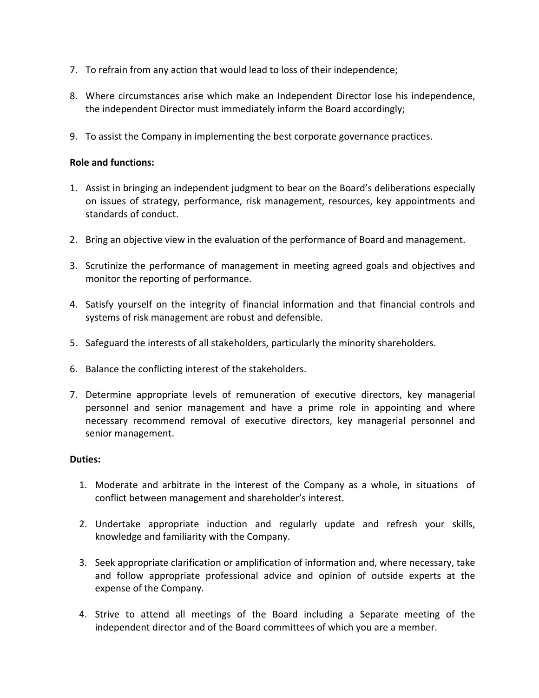- 7. To refrain from any action that would lead to loss of their independence;
- 8. Where circumstances arise which make an Independent Director lose his independence, the independent Director must immediately inform the Board accordingly;
- 9. To assist the Company in implementing the best corporate governance practices.

#### **Role and functions:**

- 1. Assist in bringing an independent judgment to bear on the Board's deliberations especially on issues of strategy, performance, risk management, resources, key appointments and standards of conduct.
- 2. Bring an objective view in the evaluation of the performance of Board and management.
- 3. Scrutinize the performance of management in meeting agreed goals and objectives and monitor the reporting of performance.
- 4. Satisfy yourself on the integrity of financial information and that financial controls and systems of risk management are robust and defensible.
- 5. Safeguard the interests of all stakeholders, particularly the minority shareholders.
- 6. Balance the conflicting interest of the stakeholders.
- 7. Determine appropriate levels of remuneration of executive directors, key managerial personnel and senior management and have a prime role in appointing and where necessary recommend removal of executive directors, key managerial personnel and senior management.

#### **Duties:**

- 1. Moderate and arbitrate in the interest of the Company as a whole, in situations of conflict between management and shareholder's interest.
- 2. Undertake appropriate induction and regularly update and refresh your skills, knowledge and familiarity with the Company.
- 3. Seek appropriate clarification or amplification of information and, where necessary, take and follow appropriate professional advice and opinion of outside experts at the expense of the Company.
- 4. Strive to attend all meetings of the Board including a Separate meeting of the independent director and of the Board committees of which you are a member.